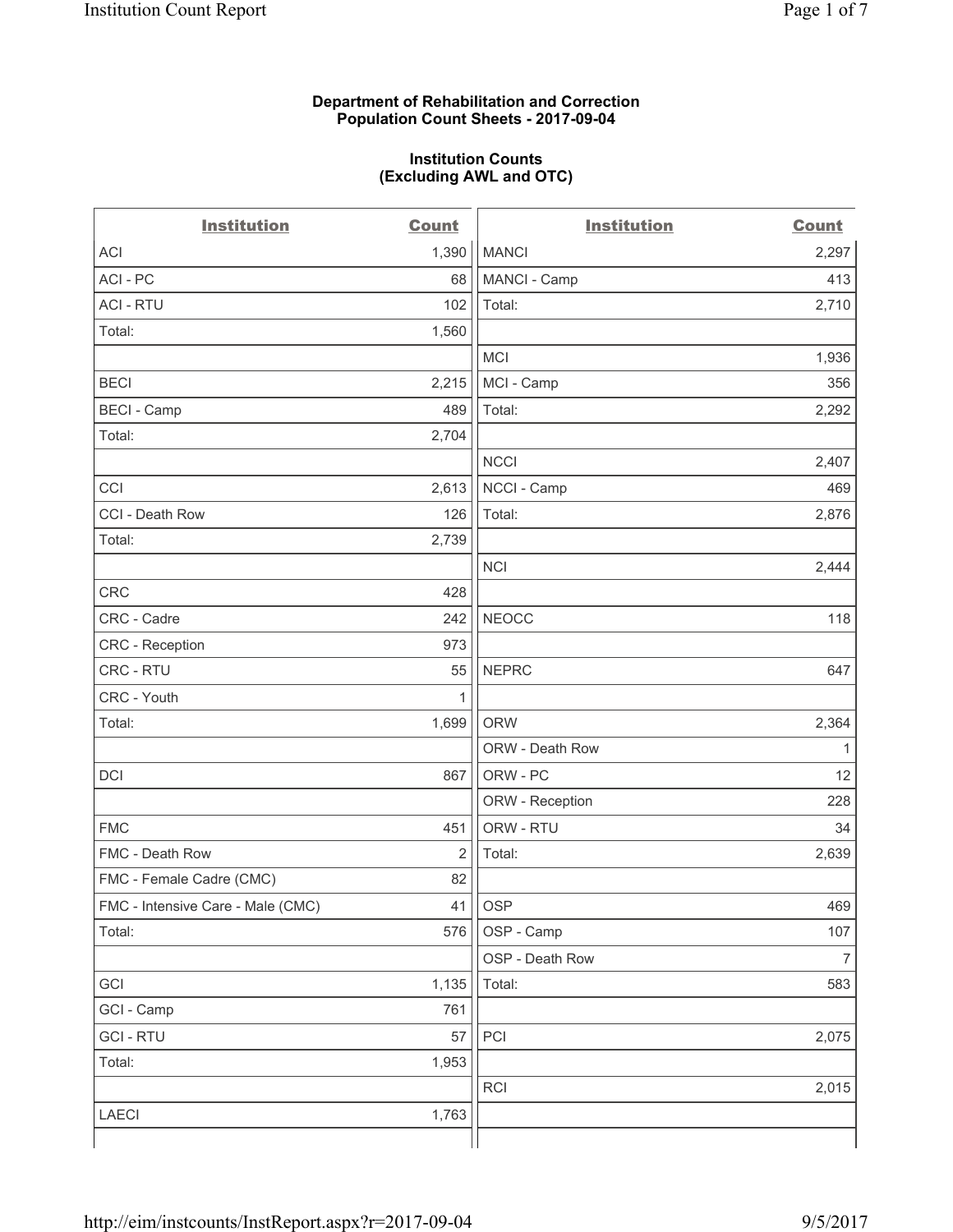#### **Department of Rehabilitation and Correction Population Count Sheets - 2017-09-04**

#### **Institution Counts (Excluding AWL and OTC)**

 $-$ 

| <b>Institution</b>                | <b>Count</b>   | <b>Institution</b> | <b>Count</b>             |
|-----------------------------------|----------------|--------------------|--------------------------|
| ACI                               | 1,390          | <b>MANCI</b>       | 2,297                    |
| ACI-PC                            | 68             | MANCI - Camp       | 413                      |
| <b>ACI - RTU</b>                  | 102            | Total:             | 2,710                    |
| Total:                            | 1,560          |                    |                          |
|                                   |                | MCI                | 1,936                    |
| <b>BECI</b>                       | 2,215          | MCI - Camp         | 356                      |
| <b>BECI</b> - Camp                | 489            | Total:             | 2,292                    |
| Total:                            | 2,704          |                    |                          |
|                                   |                | <b>NCCI</b>        | 2,407                    |
| CCI                               | 2,613          | NCCI - Camp        | 469                      |
| CCI - Death Row                   | 126            | Total:             | 2,876                    |
| Total:                            | 2,739          |                    |                          |
|                                   |                | <b>NCI</b>         | 2,444                    |
| <b>CRC</b>                        | 428            |                    |                          |
| CRC - Cadre                       | 242            | <b>NEOCC</b>       | 118                      |
| CRC - Reception                   | 973            |                    |                          |
| CRC - RTU                         | 55             | <b>NEPRC</b>       | 647                      |
| CRC - Youth                       | 1              |                    |                          |
| Total:                            | 1,699          | <b>ORW</b>         | 2,364                    |
|                                   |                | ORW - Death Row    | 1                        |
| DCI                               | 867            | ORW - PC           | 12                       |
|                                   |                | ORW - Reception    | 228                      |
| <b>FMC</b>                        | 451            | ORW - RTU          | 34                       |
| FMC - Death Row                   | $\overline{2}$ | Total:             | 2,639                    |
| FMC - Female Cadre (CMC)          | 82             |                    |                          |
| FMC - Intensive Care - Male (CMC) | 41             | <b>OSP</b>         | 469                      |
| Total:                            | 576            | OSP - Camp         | 107                      |
|                                   |                | OSP - Death Row    | $\overline{\mathcal{I}}$ |
| GCI                               | 1,135          | Total:             | 583                      |
| GCI - Camp                        | 761            |                    |                          |
| <b>GCI-RTU</b>                    | 57             | PCI                | 2,075                    |
| Total:                            | 1,953          |                    |                          |
|                                   |                | <b>RCI</b>         | 2,015                    |
| LAECI                             | 1,763          |                    |                          |
|                                   |                |                    |                          |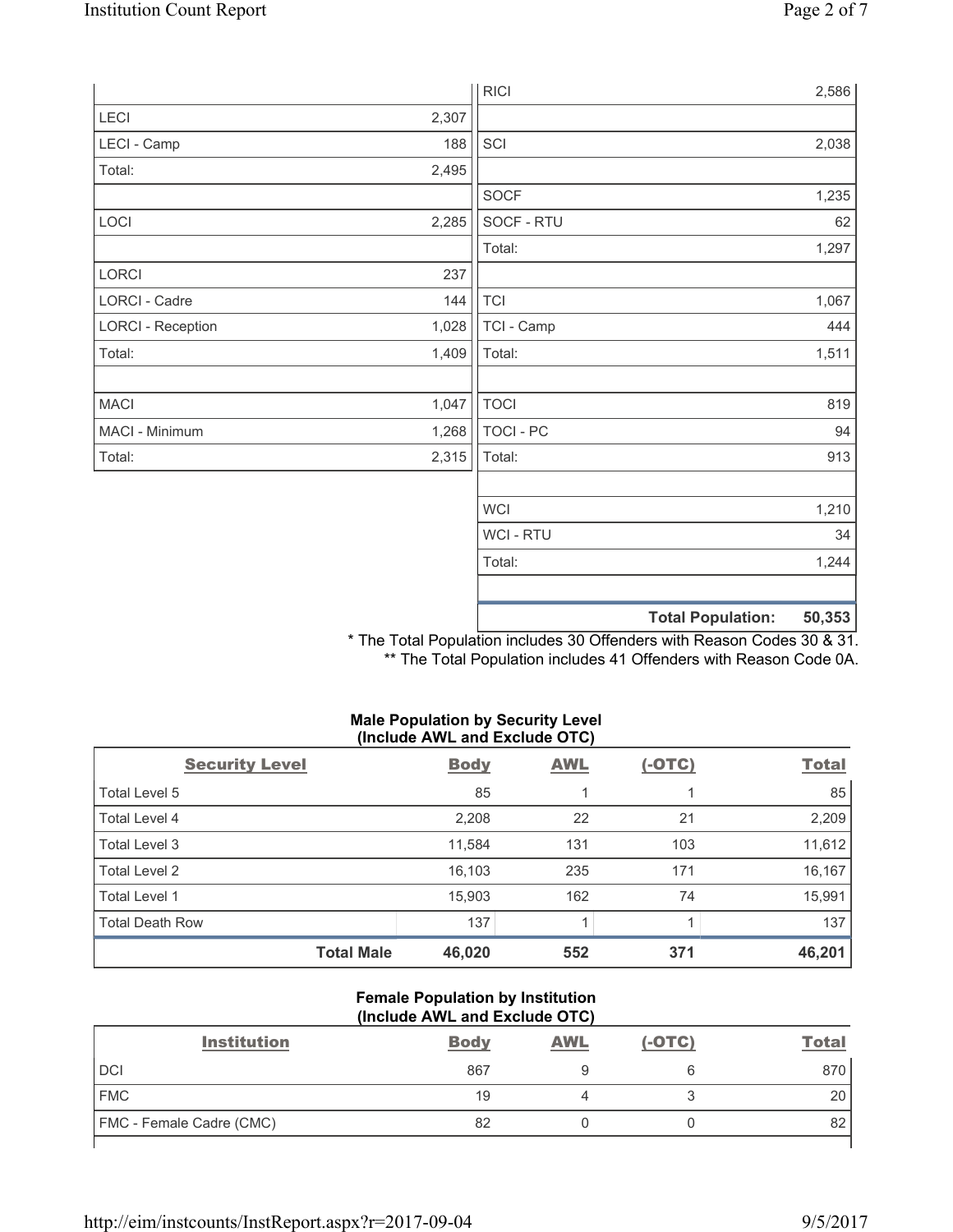|                          |       | <b>RICI</b>      | 2,586                              |
|--------------------------|-------|------------------|------------------------------------|
| LECI                     | 2,307 |                  |                                    |
| LECI - Camp              | 188   | SCI              | 2,038                              |
| Total:                   | 2,495 |                  |                                    |
|                          |       | <b>SOCF</b>      | 1,235                              |
| LOCI                     | 2,285 | SOCF - RTU       | 62                                 |
|                          |       | Total:           | 1,297                              |
| LORCI                    | 237   |                  |                                    |
| <b>LORCI - Cadre</b>     | 144   | <b>TCI</b>       | 1,067                              |
| <b>LORCI - Reception</b> | 1,028 | TCI - Camp       | 444                                |
| Total:                   | 1,409 | Total:           | 1,511                              |
|                          |       |                  |                                    |
| <b>MACI</b>              | 1,047 | <b>TOCI</b>      | 819                                |
| MACI - Minimum           | 1,268 | <b>TOCI - PC</b> | 94                                 |
| Total:                   | 2,315 | Total:           | 913                                |
|                          |       |                  |                                    |
|                          |       | <b>WCI</b>       | 1,210                              |
|                          |       | <b>WCI-RTU</b>   | 34                                 |
|                          |       | Total:           | 1,244                              |
|                          |       |                  |                                    |
|                          |       |                  | <b>Total Population:</b><br>50,353 |

\* The Total Population includes 30 Offenders with Reason Codes 30 & 31. \*\* The Total Population includes 41 Offenders with Reason Code 0A.

### **Male Population by Security Level (Include AWL and Exclude OTC)**

| <b>Security Level</b>  | <b>Body</b> | <b>AWL</b> | $(-OTC)$ | <b>Total</b> |
|------------------------|-------------|------------|----------|--------------|
| Total Level 5          | 85          |            |          | 85           |
| Total Level 4          | 2,208       | 22         | 21       | 2,209        |
| Total Level 3          | 11,584      | 131        | 103      | 11,612       |
| Total Level 2          | 16,103      | 235        | 171      | 16,167       |
| Total Level 1          | 15,903      | 162        | 74       | 15,991       |
| <b>Total Death Row</b> | 137         |            |          | 137          |
| <b>Total Male</b>      | 46,020      | 552        | 371      | 46,201       |

#### **Female Population by Institution (Include AWL and Exclude OTC)**

| <b>Institution</b>       | <b>Body</b> | <b>AWL</b> | $(-OTC)$ | <b>Total</b> |
|--------------------------|-------------|------------|----------|--------------|
| <b>DCI</b>               | 867         |            |          | 870          |
| <b>FMC</b>               | 19          |            |          | 20           |
| FMC - Female Cadre (CMC) | 82          |            |          | 82           |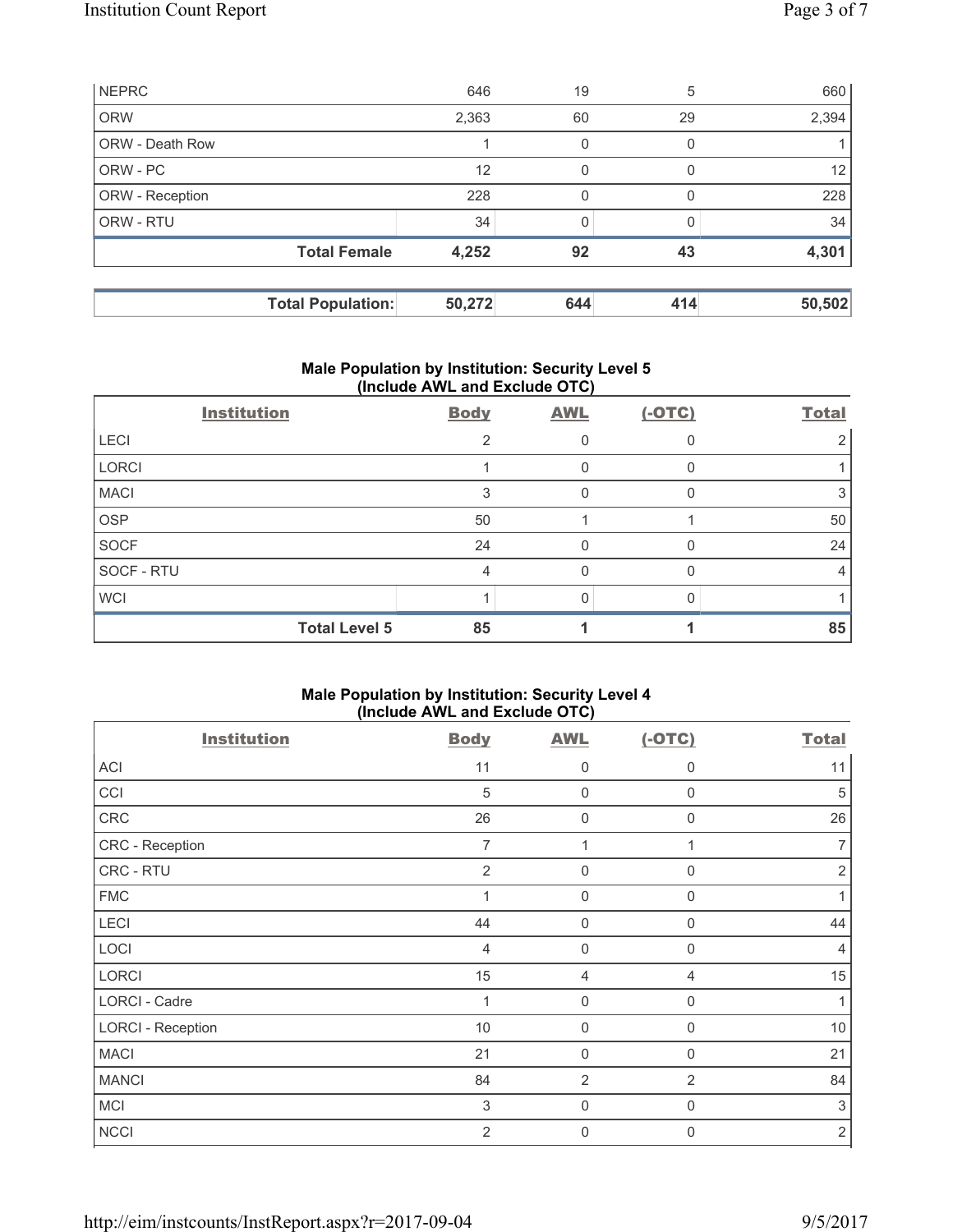|                        | <b>Total Population:</b> | 50,272 | 644 | 414      | 50,502 |
|------------------------|--------------------------|--------|-----|----------|--------|
|                        | <b>Total Female</b>      | 4,252  | 92  | 43       | 4,301  |
| ORW - RTU              |                          | 34     |     |          | 34     |
| ORW - Reception        |                          | 228    | 0   |          | 228    |
| ORW - PC               |                          | 12     | 0   | $\Omega$ | 12     |
| <b>ORW - Death Row</b> |                          |        | 0   | O        |        |
| <b>ORW</b>             |                          | 2,363  | 60  | 29       | 2,394  |
| <b>NEPRC</b>           |                          | 646    | 19  | 5        | 660    |

### **Male Population by Institution: Security Level 5 (Include AWL and Exclude OTC)**

| <b>Institution</b> |                      | <b>Body</b>    | <b>AWL</b> | $(-OTC)$ | <b>Total</b> |
|--------------------|----------------------|----------------|------------|----------|--------------|
| <b>LECI</b>        |                      | $\mathfrak{p}$ |            |          |              |
| <b>LORCI</b>       |                      |                | 0          |          |              |
| <b>MACI</b>        |                      | 3              | 0          |          |              |
| <b>OSP</b>         |                      | 50             |            |          | 50           |
| <b>SOCF</b>        |                      | 24             | 0          |          | 24           |
| SOCF - RTU         |                      | 4              | 0          |          |              |
| <b>WCI</b>         |                      |                |            |          |              |
|                    | <b>Total Level 5</b> | 85             |            |          | 85           |

## **Male Population by Institution: Security Level 4 (Include AWL and Exclude OTC)**

| <b>Institution</b>       | <b>Body</b>    | <b>AWL</b>          | $(-OTC)$       | <b>Total</b>   |
|--------------------------|----------------|---------------------|----------------|----------------|
| ACI                      | 11             | 0                   | $\mathbf 0$    | 11             |
| CCI                      | 5              | $\mathbf 0$         | $\mathbf 0$    | 5              |
| CRC                      | 26             | $\mathsf{O}\xspace$ | $\mathbf 0$    | 26             |
| CRC - Reception          | $\overline{7}$ | 1                   | 1              | 7              |
| CRC - RTU                | 2              | $\mathbf 0$         | 0              | $\overline{2}$ |
| <b>FMC</b>               | $\overline{1}$ | $\mathsf{0}$        | $\mathbf 0$    | 1              |
| LECI                     | 44             | $\mathbf 0$         | $\mathbf 0$    | 44             |
| LOCI                     | 4              | $\mathbf 0$         | $\mathbf 0$    | $\overline{4}$ |
| <b>LORCI</b>             | 15             | $\overline{4}$      | 4              | 15             |
| <b>LORCI - Cadre</b>     | 1              | $\mathbf 0$         | $\mathbf 0$    | 1              |
| <b>LORCI - Reception</b> | 10             | $\mathbf 0$         | $\mathbf 0$    | 10             |
| <b>MACI</b>              | 21             | $\boldsymbol{0}$    | $\mathbf 0$    | 21             |
| <b>MANCI</b>             | 84             | $\overline{2}$      | $\overline{2}$ | 84             |
| <b>MCI</b>               | 3              | $\mathbf 0$         | $\mathbf 0$    | $\sqrt{3}$     |
| <b>NCCI</b>              | $\overline{2}$ | $\mathbf 0$         | $\mathbf{0}$   | $\sqrt{2}$     |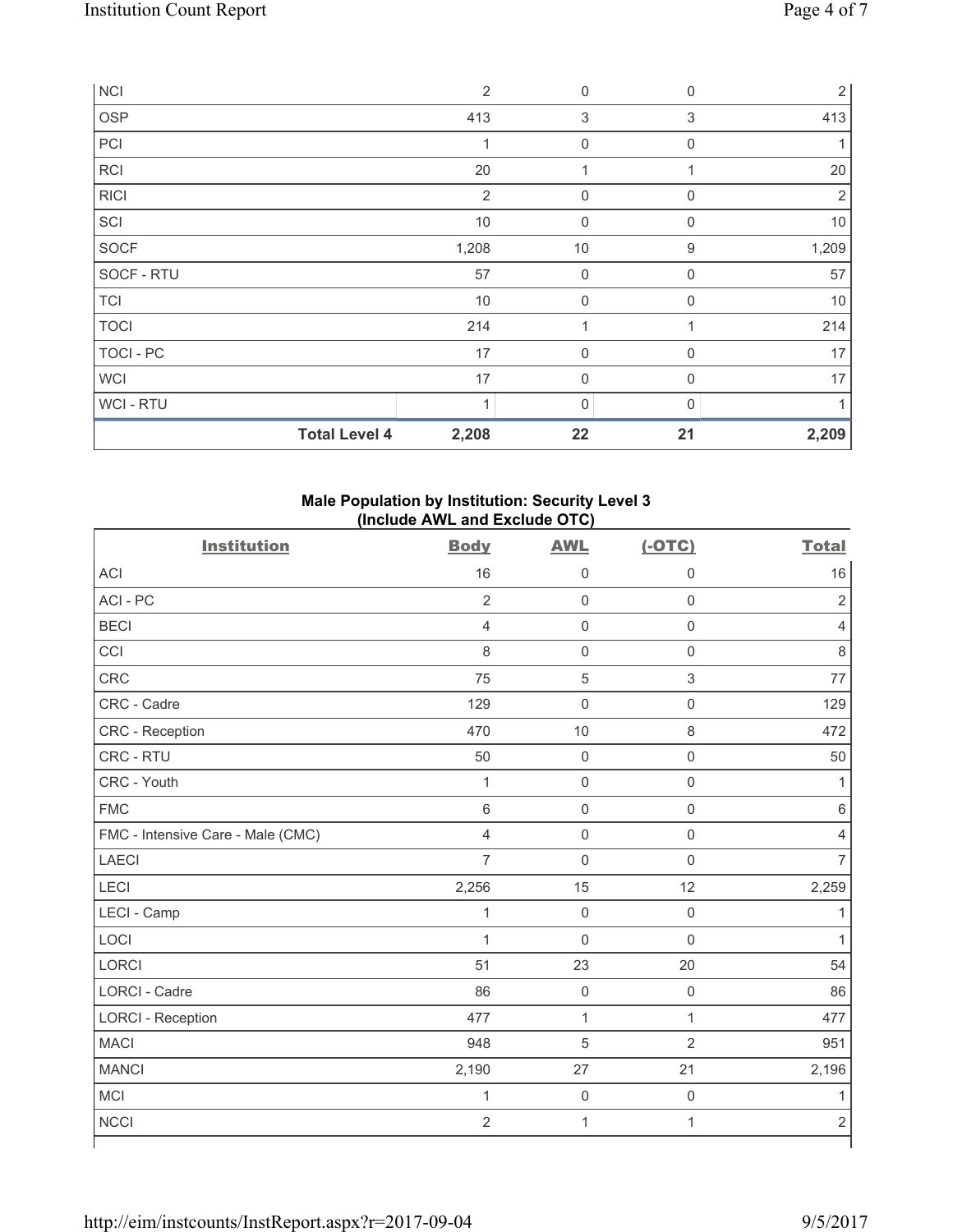| <b>NCI</b>       |                      | $\overline{2}$           | 0              | $\mathbf 0$ | 2     |
|------------------|----------------------|--------------------------|----------------|-------------|-------|
| OSP              |                      | 413                      | $\sqrt{3}$     | 3           | 413   |
| PCI              |                      | 1                        | $\mathbf 0$    | $\mathbf 0$ |       |
| RCI              |                      | 20                       | 1              |             | 20    |
| <b>RICI</b>      |                      | 2                        | $\mathbf 0$    | $\Omega$    | 2     |
| SCI              |                      | $10$                     | $\mathbf 0$    | $\mathbf 0$ | 10    |
| SOCF             |                      | 1,208                    | $10$           | $9\,$       | 1,209 |
| SOCF - RTU       |                      | 57                       | $\mathbf 0$    | $\mathbf 0$ | 57    |
| <b>TCI</b>       |                      | $10$                     | 0              | 0           | $10$  |
| <b>TOCI</b>      |                      | 214                      | 1              |             | 214   |
| <b>TOCI - PC</b> |                      | 17                       | $\overline{0}$ | $\Omega$    | 17    |
| <b>WCI</b>       |                      | 17                       | 0              | $\Omega$    | 17    |
| WCI - RTU        |                      | $\overline{\mathcal{A}}$ | 0              | U           |       |
|                  | <b>Total Level 4</b> | 2,208                    | 22             | 21          | 2,209 |

## **Male Population by Institution: Security Level 3 (Include AWL and Exclude OTC)**

| <b>Institution</b>                | <b>Body</b>    | <b>AWL</b>          | $(-OTC)$            | <b>Total</b>   |
|-----------------------------------|----------------|---------------------|---------------------|----------------|
| <b>ACI</b>                        | 16             | $\mathsf{O}\xspace$ | $\mathbf 0$         | 16             |
| ACI-PC                            | $\overline{2}$ | $\mathsf 0$         | $\mathsf{O}\xspace$ | $\overline{2}$ |
| <b>BECI</b>                       | $\overline{4}$ | $\mathsf{O}\xspace$ | $\mathsf 0$         | $\overline{4}$ |
| CCI                               | 8              | $\mathbf 0$         | $\mathbf 0$         | 8              |
| CRC                               | 75             | $\sqrt{5}$          | $\mathsf 3$         | 77             |
| CRC - Cadre                       | 129            | $\mathbf 0$         | $\mathsf 0$         | 129            |
| CRC - Reception                   | 470            | 10                  | $\,8\,$             | 472            |
| CRC - RTU                         | 50             | $\mathbf 0$         | $\mathsf 0$         | 50             |
| CRC - Youth                       | $\mathbf{1}$   | $\mathbf 0$         | $\mathsf 0$         | 1              |
| <b>FMC</b>                        | 6              | $\mathsf{O}\xspace$ | $\mathsf 0$         | $\,6$          |
| FMC - Intensive Care - Male (CMC) | $\overline{4}$ | $\mathbf 0$         | $\mathbf 0$         | 4              |
| <b>LAECI</b>                      | $\overline{7}$ | $\mathsf{O}\xspace$ | $\mathsf 0$         | $\overline{7}$ |
| LECI                              | 2,256          | 15                  | 12                  | 2,259          |
| LECI - Camp                       | $\mathbf{1}$   | $\mathsf{O}\xspace$ | $\mathbf 0$         | 1              |
| LOCI                              | $\mathbf 1$    | $\mathbf 0$         | $\mathbf 0$         | 1              |
| <b>LORCI</b>                      | 51             | 23                  | 20                  | 54             |
| <b>LORCI - Cadre</b>              | 86             | $\mathsf{O}\xspace$ | $\mathsf 0$         | 86             |
| <b>LORCI - Reception</b>          | 477            | $\mathbf{1}$        | $\mathbf{1}$        | 477            |
| <b>MACI</b>                       | 948            | $\overline{5}$      | $\overline{2}$      | 951            |
| <b>MANCI</b>                      | 2,190          | 27                  | 21                  | 2,196          |
| <b>MCI</b>                        | $\mathbf{1}$   | $\mathsf{O}\xspace$ | $\mathsf 0$         | 1              |
| <b>NCCI</b>                       | $\overline{2}$ | $\mathbf{1}$        | $\mathbf{1}$        | $\overline{2}$ |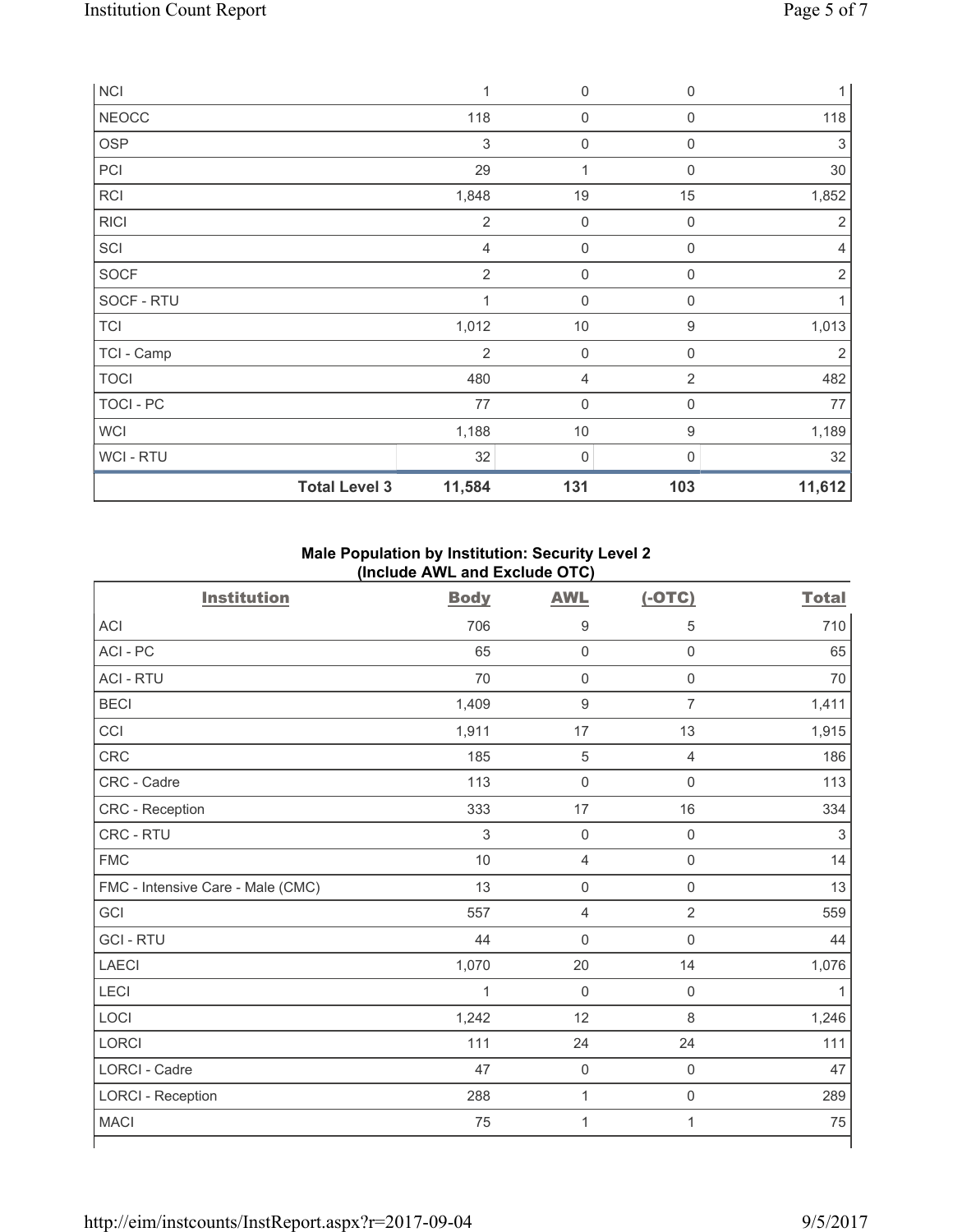| <b>NCI</b>           | $\mathbf 1$    | $\mathbf 0$         | $\mathbf 0$      | $\mathbf{1}$   |
|----------------------|----------------|---------------------|------------------|----------------|
| <b>NEOCC</b>         | 118            | $\mathsf{O}\xspace$ | $\boldsymbol{0}$ | 118            |
| <b>OSP</b>           | 3              | $\mathsf{O}\xspace$ | $\mathbf 0$      | 3              |
| PCI                  | 29             | 1                   | $\mathbf 0$      | 30             |
| <b>RCI</b>           | 1,848          | 19                  | 15               | 1,852          |
| <b>RICI</b>          | $\overline{2}$ | $\mathbf 0$         | $\mathbf 0$      | $\overline{2}$ |
| SCI                  | $\overline{4}$ | $\mathsf{O}\xspace$ | $\mathbf 0$      | 4              |
| <b>SOCF</b>          | $\overline{2}$ | $\mathsf{O}\xspace$ | $\mathbf 0$      | $\overline{2}$ |
| SOCF - RTU           | $\mathbf 1$    | $\mathbf 0$         | $\Omega$         |                |
| <b>TCI</b>           | 1,012          | $10$                | $\boldsymbol{9}$ | 1,013          |
| TCI - Camp           | $\overline{2}$ | $\mathbf 0$         | $\mathbf 0$      | 2              |
| <b>TOCI</b>          | 480            | 4                   | $\overline{2}$   | 482            |
| TOCI - PC            | 77             | $\mathsf{O}\xspace$ | $\boldsymbol{0}$ | 77             |
| <b>WCI</b>           | 1,188          | 10                  | $\boldsymbol{9}$ | 1,189          |
| <b>WCI-RTU</b>       | 32             | 0                   | $\mathbf{0}$     | 32             |
| <b>Total Level 3</b> | 11,584         | 131                 | 103              | 11,612         |

# **Male Population by Institution: Security Level 2 (Include AWL and Exclude OTC)**

| <b>Institution</b>                | <b>Body</b>    | <b>AWL</b>          | $(-OTC)$            | <b>Total</b> |
|-----------------------------------|----------------|---------------------|---------------------|--------------|
| <b>ACI</b>                        | 706            | 9                   | 5                   | 710          |
| ACI - PC                          | 65             | $\mathsf 0$         | $\mathsf{O}\xspace$ | 65           |
| <b>ACI - RTU</b>                  | 70             | $\mathbf 0$         | $\mathsf 0$         | 70           |
| <b>BECI</b>                       | 1,409          | $\boldsymbol{9}$    | $\overline{7}$      | 1,411        |
| CCI                               | 1,911          | 17                  | 13                  | 1,915        |
| <b>CRC</b>                        | 185            | $\sqrt{5}$          | $\overline{4}$      | 186          |
| CRC - Cadre                       | 113            | $\mathsf{O}\xspace$ | $\mathsf{O}\xspace$ | 113          |
| CRC - Reception                   | 333            | 17                  | 16                  | 334          |
| CRC - RTU                         | $\mathfrak{Z}$ | $\mathbf 0$         | $\mathsf{O}\xspace$ | $\sqrt{3}$   |
| <b>FMC</b>                        | 10             | $\overline{4}$      | $\mathsf 0$         | 14           |
| FMC - Intensive Care - Male (CMC) | 13             | $\mathsf{O}\xspace$ | $\mathsf 0$         | 13           |
| GCI                               | 557            | $\overline{4}$      | $\overline{2}$      | 559          |
| <b>GCI-RTU</b>                    | 44             | $\mathbf 0$         | $\mathbf 0$         | 44           |
| <b>LAECI</b>                      | 1,070          | 20                  | 14                  | 1,076        |
| LECI                              | $\mathbf 1$    | $\mathbf 0$         | $\mathsf 0$         | 1            |
| LOCI                              | 1,242          | 12                  | $\,8\,$             | 1,246        |
| <b>LORCI</b>                      | 111            | 24                  | 24                  | 111          |
| <b>LORCI - Cadre</b>              | 47             | $\mathsf{O}\xspace$ | $\mathsf 0$         | 47           |
| <b>LORCI - Reception</b>          | 288            | $\mathbf 1$         | $\mathsf 0$         | 289          |
| <b>MACI</b>                       | 75             | 1                   | 1                   | 75           |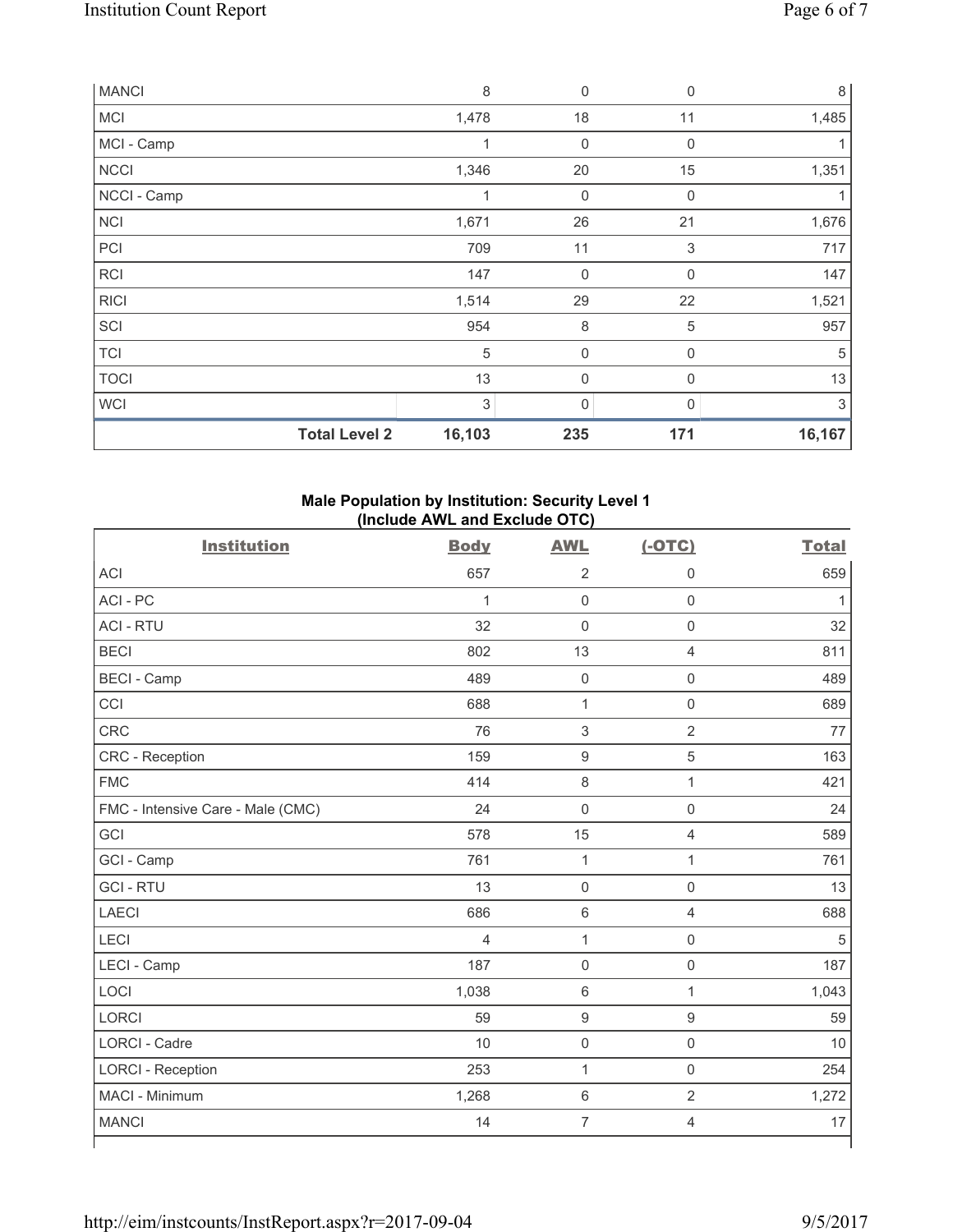| <b>MANCI</b>         | 8      | $\mathbf 0$      | $\mathbf 0$      | 8      |
|----------------------|--------|------------------|------------------|--------|
| <b>MCI</b>           | 1,478  | 18               | 11               | 1,485  |
| MCI - Camp           | 1      | 0                | $\mathbf 0$      |        |
| <b>NCCI</b>          | 1,346  | 20               | 15               | 1,351  |
| NCCI - Camp          | 1      | $\boldsymbol{0}$ | $\mathbf 0$      |        |
| <b>NCI</b>           | 1,671  | 26               | 21               | 1,676  |
| PCI                  | 709    | 11               | 3                | 717    |
| RCI                  | 147    | $\boldsymbol{0}$ | $\boldsymbol{0}$ | 147    |
| <b>RICI</b>          | 1,514  | 29               | 22               | 1,521  |
| SCI                  | 954    | 8                | 5                | 957    |
| <b>TCI</b>           | 5      | $\boldsymbol{0}$ | 0                | 5      |
| <b>TOCI</b>          | 13     | $\mathbf 0$      | 0                | 13     |
| <b>WCI</b>           | 3      | 0                | 0                | 3      |
| <b>Total Level 2</b> | 16,103 | 235              | 171              | 16,167 |

# **Male Population by Institution: Security Level 1 (Include AWL and Exclude OTC)**

| <b>Institution</b>                | <b>Body</b>    | <b>AWL</b>          | $(-OTC)$            | <b>Total</b> |
|-----------------------------------|----------------|---------------------|---------------------|--------------|
| <b>ACI</b>                        | 657            | $\overline{2}$      | $\mathbf 0$         | 659          |
| ACI-PC                            | $\mathbf{1}$   | $\mathbf 0$         | $\mathsf{O}\xspace$ | 1            |
| <b>ACI - RTU</b>                  | 32             | $\mathbf 0$         | $\mathbf 0$         | 32           |
| <b>BECI</b>                       | 802            | 13                  | $\overline{4}$      | 811          |
| <b>BECI - Camp</b>                | 489            | $\mathbf 0$         | $\mathsf{O}\xspace$ | 489          |
| CCI                               | 688            | $\mathbf{1}$        | $\mathbf 0$         | 689          |
| <b>CRC</b>                        | 76             | $\sqrt{3}$          | $\overline{2}$      | 77           |
| CRC - Reception                   | 159            | $\boldsymbol{9}$    | $\sqrt{5}$          | 163          |
| <b>FMC</b>                        | 414            | 8                   | $\mathbf{1}$        | 421          |
| FMC - Intensive Care - Male (CMC) | 24             | $\mathbf 0$         | $\mathsf 0$         | 24           |
| GCI                               | 578            | 15                  | 4                   | 589          |
| GCI - Camp                        | 761            | $\mathbf{1}$        | $\mathbf{1}$        | 761          |
| <b>GCI-RTU</b>                    | 13             | $\mathbf 0$         | $\mathbf 0$         | 13           |
| <b>LAECI</b>                      | 686            | $\,6\,$             | $\overline{4}$      | 688          |
| LECI                              | $\overline{4}$ | $\mathbf 1$         | $\mathsf 0$         | 5            |
| LECI - Camp                       | 187            | $\mathbf 0$         | $\mathsf{O}\xspace$ | 187          |
| LOCI                              | 1,038          | $\,6\,$             | $\mathbf{1}$        | 1,043        |
| <b>LORCI</b>                      | 59             | $\boldsymbol{9}$    | $\hbox{9}$          | 59           |
| <b>LORCI - Cadre</b>              | 10             | $\mathsf{O}\xspace$ | $\mathsf 0$         | 10           |
| <b>LORCI - Reception</b>          | 253            | $\mathbf{1}$        | $\mathbf 0$         | 254          |
| MACI - Minimum                    | 1,268          | $\,6\,$             | $\overline{2}$      | 1,272        |
| <b>MANCI</b>                      | 14             | $\overline{7}$      | 4                   | 17           |